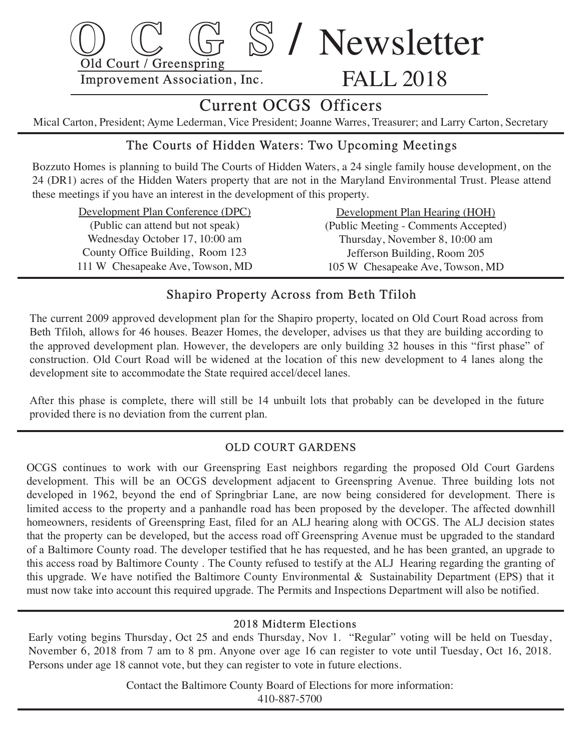

# Current OCGS Officers

Mical Carton, President; Ayme Lederman, Vice President; Joanne Warres, Treasurer; and Larry Carton, Secretary

# The Courts of Hidden Waters: Two Upcoming Meetings

Bozzuto Homes is planning to build The Courts of Hidden Waters, a 24 single family house development, on the 24 (DR1) acres of the Hidden Waters property that are not in the Maryland Environmental Trust. Please attend these meetings if you have an interest in the development of this property.

 Development Plan Conference (DPC) (Public can attend but not speak) Wednesday October 17, 10:00 am County Office Building, Room 123 111 W Chesapeake Ave, Towson, MD

 Development Plan Hearing (HOH) (Public Meeting - Comments Accepted) Thursday, November 8, 10:00 am Jefferson Building, Room 205 105 W Chesapeake Ave, Towson, MD

# Shapiro Property Across from Beth Tfiloh

 The current 2009 approved development plan for the Shapiro property, located on Old Court Road acros s from Beth Tfiloh, allows for 46 houses. Beazer Homes, the developer, advises us that they are building according to the approved development plan. However, the developers are only building 32 houses in this "first phase" of construction. Old Court Road will be widened at the location of this new development to 4 lanes along the development site to accommodate the State required accel/decel lanes.

 After this phase is complete, there will still be 14 unbuilt lots that probably can be developed in the future provided there is no deviation from the current plan.

#### OLD COURT GARDENS

 OCGS continues to work with our Greenspring East neighbors regarding the proposed Old Court Gardens development. This will be an OCGS development adjacent to Greenspring Avenue. Three building lots not developed in 1962, beyond the end of Springbriar Lane, are now being considered for development. There is limited access to the property and a panhandle road has been proposed by the developer. The affected downhill homeowners, residents of Greenspring East, filed for an ALJ hearing along with OCGS. The ALJ decision states that the property can be developed, but the access road off Greenspring Avenue must be upgraded to the standard of a Baltimore County road. The developer testified that he has requested, and he has been granted, an upgrade to this access road by Baltimore County . The County refused to testify at the ALJ Hearing regarding the granting of this upgrade. We have notified the Baltimore County Environmental & Sustainability Department (EPS) that it must now take into account this required upgrade. The Permits and Inspections Department will also be notified.

#### 2018 Midterm Elections

Early voting begins Thursday, Oct 25 and ends Thursday, Nov 1. "Regular" voting will be held on Tuesday, November 6, 2018 from 7 am to 8 pm. Anyone over age 16 can register to vote until Tuesday, Oct 16, 2018. Persons under age 18 cannot vote, but they can register to vote in future elections.

> Contact the Baltimore County Board of Elections for more information: 410-887-5700